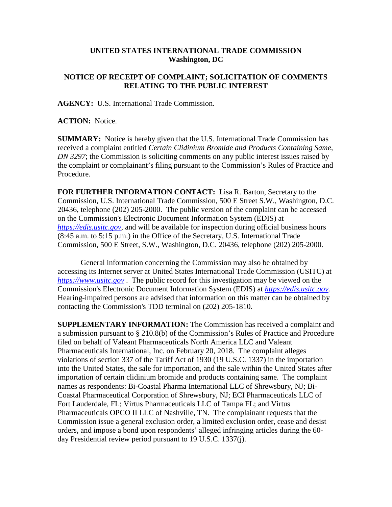## **UNITED STATES INTERNATIONAL TRADE COMMISSION Washington, DC**

## **NOTICE OF RECEIPT OF COMPLAINT; SOLICITATION OF COMMENTS RELATING TO THE PUBLIC INTEREST**

**AGENCY:** U.S. International Trade Commission.

**ACTION:** Notice.

**SUMMARY:** Notice is hereby given that the U.S. International Trade Commission has received a complaint entitled *Certain Clidinium Bromide and Products Containing Same, DN 3297*; the Commission is soliciting comments on any public interest issues raised by the complaint or complainant's filing pursuant to the Commission's Rules of Practice and Procedure.

**FOR FURTHER INFORMATION CONTACT:** Lisa R. Barton, Secretary to the Commission, U.S. International Trade Commission, 500 E Street S.W., Washington, D.C. 20436, telephone (202) 205-2000. The public version of the complaint can be accessed on the Commission's Electronic Document Information System (EDIS) at *[https://edis.usitc.gov](https://edis.usitc.gov/)*, and will be available for inspection during official business hours (8:45 a.m. to 5:15 p.m.) in the Office of the Secretary, U.S. International Trade Commission, 500 E Street, S.W., Washington, D.C. 20436, telephone (202) 205-2000.

General information concerning the Commission may also be obtained by accessing its Internet server at United States International Trade Commission (USITC) at *[https://www.usitc.gov](https://www.usitc.gov/)* . The public record for this investigation may be viewed on the Commission's Electronic Document Information System (EDIS) at *[https://edis.usitc.gov.](https://edis.usitc.gov/)* Hearing-impaired persons are advised that information on this matter can be obtained by contacting the Commission's TDD terminal on (202) 205-1810.

**SUPPLEMENTARY INFORMATION:** The Commission has received a complaint and a submission pursuant to § 210.8(b) of the Commission's Rules of Practice and Procedure filed on behalf of Valeant Pharmaceuticals North America LLC and Valeant Pharmaceuticals International, Inc. on February 20, 2018. The complaint alleges violations of section 337 of the Tariff Act of 1930 (19 U.S.C. 1337) in the importation into the United States, the sale for importation, and the sale within the United States after importation of certain clidinium bromide and products containing same. The complaint names as respondents: Bi-Coastal Pharma International LLC of Shrewsbury, NJ; Bi-Coastal Pharmaceutical Corporation of Shrewsbury, NJ; ECI Pharmaceuticals LLC of Fort Lauderdale, FL; Virtus Pharmaceuticals LLC of Tampa FL; and Virtus Pharmaceuticals OPCO II LLC of Nashville, TN. The complainant requests that the Commission issue a general exclusion order, a limited exclusion order, cease and desist orders, and impose a bond upon respondents' alleged infringing articles during the 60 day Presidential review period pursuant to 19 U.S.C. 1337(j).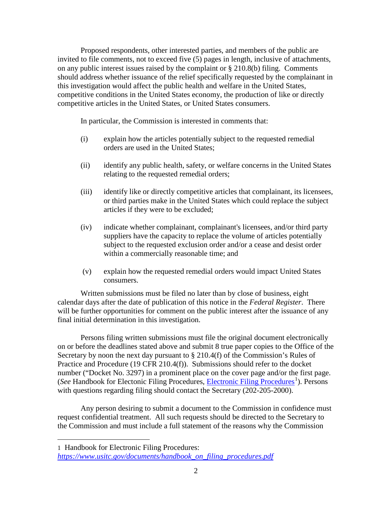Proposed respondents, other interested parties, and members of the public are invited to file comments, not to exceed five (5) pages in length, inclusive of attachments, on any public interest issues raised by the complaint or § 210.8(b) filing. Comments should address whether issuance of the relief specifically requested by the complainant in this investigation would affect the public health and welfare in the United States, competitive conditions in the United States economy, the production of like or directly competitive articles in the United States, or United States consumers.

In particular, the Commission is interested in comments that:

- (i) explain how the articles potentially subject to the requested remedial orders are used in the United States;
- (ii) identify any public health, safety, or welfare concerns in the United States relating to the requested remedial orders;
- (iii) identify like or directly competitive articles that complainant, its licensees, or third parties make in the United States which could replace the subject articles if they were to be excluded;
- (iv) indicate whether complainant, complainant's licensees, and/or third party suppliers have the capacity to replace the volume of articles potentially subject to the requested exclusion order and/or a cease and desist order within a commercially reasonable time; and
- (v) explain how the requested remedial orders would impact United States consumers.

Written submissions must be filed no later than by close of business, eight calendar days after the date of publication of this notice in the *Federal Register*. There will be further opportunities for comment on the public interest after the issuance of any final initial determination in this investigation.

Persons filing written submissions must file the original document electronically on or before the deadlines stated above and submit 8 true paper copies to the Office of the Secretary by noon the next day pursuant to  $\S 210.4(f)$  of the Commission's Rules of Practice and Procedure (19 CFR 210.4(f)). Submissions should refer to the docket number ("Docket No. 3297) in a prominent place on the cover page and/or the first page. (See Handbook for Electonic Filing Procedures, *Electronic Filing Procedures*<sup>[1](#page-1-0)</sup>). Persons with questions regarding filing should contact the Secretary (202-205-2000).

Any person desiring to submit a document to the Commission in confidence must request confidential treatment. All such requests should be directed to the Secretary to the Commission and must include a full statement of the reasons why the Commission

 $\overline{a}$ 

<span id="page-1-0"></span><sup>1</sup> Handbook for Electronic Filing Procedures: *[https://www.usitc.gov/documents/handbook\\_on\\_filing\\_procedures.pdf](https://www.usitc.gov/documents/handbook_on_filing_procedures.pdf)*